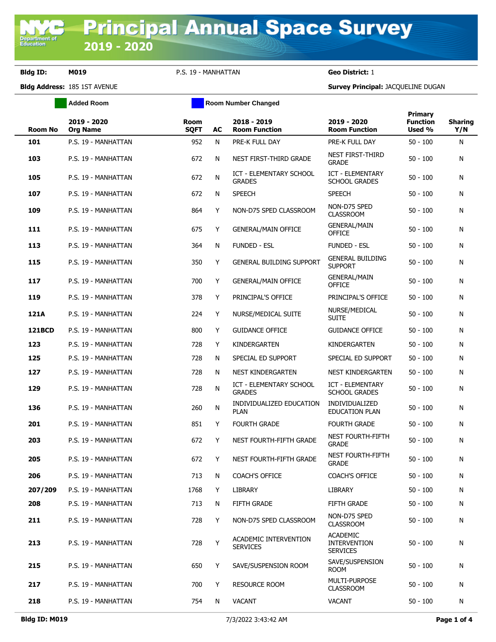**Department of**<br>Education

**Bldg ID: M019** P.S. 19 - MANHATTAN **Geo District:** 1

**Added Room Room Room Number Changed** 

**Bldg Address:** 185 1ST AVENUE **Survey Principal:** JACQUELINE DUGAN

|                |                                |                     |           |                                          | Primary                                                   |                           |                       |
|----------------|--------------------------------|---------------------|-----------|------------------------------------------|-----------------------------------------------------------|---------------------------|-----------------------|
| <b>Room No</b> | 2019 - 2020<br><b>Org Name</b> | Room<br><b>SQFT</b> | AC        | 2018 - 2019<br><b>Room Function</b>      | 2019 - 2020<br><b>Room Function</b>                       | <b>Function</b><br>Used % | <b>Sharing</b><br>Y/N |
| 101            | P.S. 19 - MANHATTAN            | 952                 | N         | PRE-K FULL DAY                           | PRE-K FULL DAY                                            | $50 - 100$                | N                     |
| 103            | P.S. 19 - MANHATTAN            | 672                 | N         | NEST FIRST-THIRD GRADE                   | <b>NEST FIRST-THIRD</b><br><b>GRADE</b>                   | $50 - 100$                | N                     |
| 105            | P.S. 19 - MANHATTAN            | 672                 | N         | ICT - ELEMENTARY SCHOOL<br><b>GRADES</b> | ICT - ELEMENTARY<br><b>SCHOOL GRADES</b>                  | $50 - 100$                | N                     |
| 107            | P.S. 19 - MANHATTAN            | 672                 | N         | <b>SPEECH</b>                            | <b>SPEECH</b>                                             | $50 - 100$                | N                     |
| 109            | P.S. 19 - MANHATTAN            | 864                 | Y         | NON-D75 SPED CLASSROOM                   | NON-D75 SPED<br><b>CLASSROOM</b>                          | $50 - 100$                | N                     |
| 111            | P.S. 19 - MANHATTAN            | 675                 | Y         | <b>GENERAL/MAIN OFFICE</b>               | <b>GENERAL/MAIN</b><br><b>OFFICE</b>                      | $50 - 100$                | N                     |
| 113            | P.S. 19 - MANHATTAN            | 364                 | N         | <b>FUNDED - ESL</b>                      | <b>FUNDED - ESL</b>                                       | $50 - 100$                | N                     |
| 115            | P.S. 19 - MANHATTAN            | 350                 | Y         | <b>GENERAL BUILDING SUPPORT</b>          | <b>GENERAL BUILDING</b><br><b>SUPPORT</b>                 | $50 - 100$                | N                     |
| 117            | P.S. 19 - MANHATTAN            | 700                 | Y         | <b>GENERAL/MAIN OFFICE</b>               | <b>GENERAL/MAIN</b><br><b>OFFICE</b>                      | $50 - 100$                | N                     |
| 119            | P.S. 19 - MANHATTAN            | 378                 | Y         | PRINCIPAL'S OFFICE                       | PRINCIPAL'S OFFICE                                        | $50 - 100$                | N                     |
| 121A           | P.S. 19 - MANHATTAN            | 224                 | Y         | NURSE/MEDICAL SUITE                      | NURSE/MEDICAL<br><b>SUITE</b>                             | $50 - 100$                | N                     |
| <b>121BCD</b>  | P.S. 19 - MANHATTAN            | 800                 | Y         | <b>GUIDANCE OFFICE</b>                   | <b>GUIDANCE OFFICE</b>                                    | $50 - 100$                | N                     |
| 123            | P.S. 19 - MANHATTAN            | 728                 | Y         | KINDERGARTEN                             | KINDERGARTEN                                              | $50 - 100$                | N                     |
| 125            | P.S. 19 - MANHATTAN            | 728                 | N         | SPECIAL ED SUPPORT                       | SPECIAL ED SUPPORT                                        | $50 - 100$                | N                     |
| 127            | P.S. 19 - MANHATTAN            | 728                 | N         | NEST KINDERGARTEN                        | NEST KINDERGARTEN                                         | $50 - 100$                | N                     |
| 129            | P.S. 19 - MANHATTAN            | 728                 | ${\sf N}$ | ICT - ELEMENTARY SCHOOL<br><b>GRADES</b> | ICT - ELEMENTARY<br><b>SCHOOL GRADES</b>                  | $50 - 100$                | N                     |
| 136            | P.S. 19 - MANHATTAN            | 260                 | N         | INDIVIDUALIZED EDUCATION<br><b>PLAN</b>  | INDIVIDUALIZED<br><b>EDUCATION PLAN</b>                   | $50 - 100$                | N                     |
| 201            | P.S. 19 - MANHATTAN            | 851                 | Y         | <b>FOURTH GRADE</b>                      | <b>FOURTH GRADE</b>                                       | $50 - 100$                | N                     |
| 203            | P.S. 19 - MANHATTAN            | 672                 | Y         | NEST FOURTH-FIFTH GRADE                  | <b>NEST FOURTH-FIFTH</b><br><b>GRADE</b>                  | $50 - 100$                | N                     |
| 205            | P.S. 19 - MANHATTAN            | 672                 | Y         | NEST FOURTH-FIFTH GRADE                  | <b>NEST FOURTH-FIFTH</b><br><b>GRADE</b>                  | $50 - 100$                | N                     |
| 206            | P.S. 19 - MANHATTAN            | 713                 | N         | COACH'S OFFICE                           | <b>COACH'S OFFICE</b>                                     | $50 - 100$                | N                     |
| 207/209        | P.S. 19 - MANHATTAN            | 1768                | Y         | LIBRARY                                  | LIBRARY                                                   | $50 - 100$                | N                     |
| 208            | P.S. 19 - MANHATTAN            | 713                 | N         | FIFTH GRADE                              | FIFTH GRADE                                               | $50 - 100$                | N                     |
| 211            | P.S. 19 - MANHATTAN            | 728                 | Y         | NON-D75 SPED CLASSROOM                   | NON-D75 SPED<br><b>CLASSROOM</b>                          | $50 - 100$                | N                     |
| 213            | P.S. 19 - MANHATTAN            | 728                 | Y         | ACADEMIC INTERVENTION<br><b>SERVICES</b> | <b>ACADEMIC</b><br><b>INTERVENTION</b><br><b>SERVICES</b> | $50 - 100$                | N                     |
| 215            | P.S. 19 - MANHATTAN            | 650                 | Y         | SAVE/SUSPENSION ROOM                     | SAVE/SUSPENSION<br><b>ROOM</b>                            | $50 - 100$                | N                     |
| 217            | P.S. 19 - MANHATTAN            | 700                 | Y         | <b>RESOURCE ROOM</b>                     | <b>MULTI-PURPOSE</b><br><b>CLASSROOM</b>                  | $50 - 100$                | N                     |
| 218            | P.S. 19 - MANHATTAN            | 754                 | N         | <b>VACANT</b>                            | <b>VACANT</b>                                             | $50 - 100$                | N                     |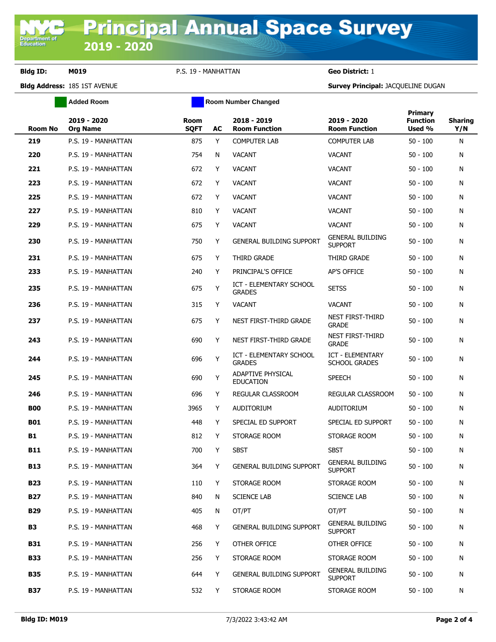**Bldg ID: M019** P.S. 19 - MANHATTAN **Geo District:** 1

**Added Room Room Room Number Changed** 

**Bldg Address:** 185 1ST AVENUE **Survey Principal:** JACQUELINE DUGAN

| <b>Room No</b> | 2019 - 2020<br><b>Org Name</b> | Room<br><b>SQFT</b> | AC | 2018 - 2019<br><b>Room Function</b>             | 2019 - 2020<br><b>Room Function</b>       | Primary<br><b>Function</b><br>Used % | <b>Sharing</b><br>Y/N |
|----------------|--------------------------------|---------------------|----|-------------------------------------------------|-------------------------------------------|--------------------------------------|-----------------------|
| 219            | P.S. 19 - MANHATTAN            | 875                 | Y  | <b>COMPUTER LAB</b>                             | <b>COMPUTER LAB</b>                       | $50 - 100$                           | N                     |
| 220            | P.S. 19 - MANHATTAN            | 754                 | N  | <b>VACANT</b>                                   | <b>VACANT</b>                             | $50 - 100$                           | N                     |
| 221            | P.S. 19 - MANHATTAN            | 672                 | Y  | <b>VACANT</b>                                   | <b>VACANT</b>                             | $50 - 100$                           | N                     |
| 223            | P.S. 19 - MANHATTAN            | 672                 | Y  | <b>VACANT</b>                                   | <b>VACANT</b>                             | $50 - 100$                           | N                     |
| 225            | P.S. 19 - MANHATTAN            | 672                 | Y  | <b>VACANT</b>                                   | <b>VACANT</b>                             | $50 - 100$                           | N                     |
| 227            | P.S. 19 - MANHATTAN            | 810                 | Y  | <b>VACANT</b>                                   | <b>VACANT</b>                             | $50 - 100$                           | N                     |
| 229            | P.S. 19 - MANHATTAN            | 675                 | Y  | <b>VACANT</b>                                   | <b>VACANT</b>                             | $50 - 100$                           | N                     |
| 230            | P.S. 19 - MANHATTAN            | 750                 | Y  | <b>GENERAL BUILDING SUPPORT</b>                 | <b>GENERAL BUILDING</b><br><b>SUPPORT</b> | $50 - 100$                           | N                     |
| 231            | P.S. 19 - MANHATTAN            | 675                 | Y  | THIRD GRADE                                     | THIRD GRADE                               | $50 - 100$                           | N                     |
| 233            | P.S. 19 - MANHATTAN            | 240                 | Y  | PRINCIPAL'S OFFICE                              | <b>AP'S OFFICE</b>                        | $50 - 100$                           | N                     |
| 235            | P.S. 19 - MANHATTAN            | 675                 | Y  | <b>ICT - ELEMENTARY SCHOOL</b><br><b>GRADES</b> | <b>SETSS</b>                              | $50 - 100$                           | N                     |
| 236            | P.S. 19 - MANHATTAN            | 315                 | Y  | <b>VACANT</b>                                   | <b>VACANT</b>                             | $50 - 100$                           | N                     |
| 237            | P.S. 19 - MANHATTAN            | 675                 | Y  | NEST FIRST-THIRD GRADE                          | NEST FIRST-THIRD<br><b>GRADE</b>          | $50 - 100$                           | N                     |
| 243            | P.S. 19 - MANHATTAN            | 690                 | Y  | NEST FIRST-THIRD GRADE                          | <b>NEST FIRST-THIRD</b><br><b>GRADE</b>   | $50 - 100$                           | N                     |
| 244            | P.S. 19 - MANHATTAN            | 696                 | Y  | ICT - ELEMENTARY SCHOOL<br><b>GRADES</b>        | ICT - ELEMENTARY<br><b>SCHOOL GRADES</b>  | $50 - 100$                           | N                     |
| 245            | P.S. 19 - MANHATTAN            | 690                 | Y  | <b>ADAPTIVE PHYSICAL</b><br><b>EDUCATION</b>    | <b>SPEECH</b>                             | $50 - 100$                           | N                     |
| 246            | P.S. 19 - MANHATTAN            | 696                 | Y  | REGULAR CLASSROOM                               | REGULAR CLASSROOM                         | $50 - 100$                           | N                     |
| <b>B00</b>     | P.S. 19 - MANHATTAN            | 3965                | Y  | AUDITORIUM                                      | AUDITORIUM                                | $50 - 100$                           | N                     |
| <b>B01</b>     | P.S. 19 - MANHATTAN            | 448                 | Y  | SPECIAL ED SUPPORT                              | SPECIAL ED SUPPORT                        | $50 - 100$                           | N                     |
| B1             | P.S. 19 - MANHATTAN            | 812                 | Y  | STORAGE ROOM                                    | STORAGE ROOM                              | $50 - 100$                           | N                     |
| <b>B11</b>     | P.S. 19 - MANHATTAN            | 700                 | Y  | <b>SBST</b>                                     | <b>SBST</b>                               | $50 - 100$                           | N                     |
| <b>B13</b>     | P.S. 19 - MANHATTAN            | 364                 | Y  | <b>GENERAL BUILDING SUPPORT</b>                 | <b>GENERAL BUILDING</b><br><b>SUPPORT</b> | $50 - 100$                           | N                     |
| <b>B23</b>     | P.S. 19 - MANHATTAN            | 110                 | Y  | STORAGE ROOM                                    | STORAGE ROOM                              | $50 - 100$                           | N                     |
| <b>B27</b>     | P.S. 19 - MANHATTAN            | 840                 | N  | <b>SCIENCE LAB</b>                              | <b>SCIENCE LAB</b>                        | $50 - 100$                           | N                     |
| <b>B29</b>     | P.S. 19 - MANHATTAN            | 405                 | N  | OT/PT                                           | OT/PT                                     | $50 - 100$                           | N                     |
| <b>B3</b>      | P.S. 19 - MANHATTAN            | 468                 | Y  | <b>GENERAL BUILDING SUPPORT</b>                 | <b>GENERAL BUILDING</b><br><b>SUPPORT</b> | $50 - 100$                           | N                     |
| <b>B31</b>     | P.S. 19 - MANHATTAN            | 256                 | Y  | OTHER OFFICE                                    | OTHER OFFICE                              | $50 - 100$                           | N                     |
| <b>B33</b>     | P.S. 19 - MANHATTAN            | 256                 | Y  | STORAGE ROOM                                    | STORAGE ROOM                              | $50 - 100$                           | N                     |
| <b>B35</b>     | P.S. 19 - MANHATTAN            | 644                 | Y  | <b>GENERAL BUILDING SUPPORT</b>                 | <b>GENERAL BUILDING</b><br><b>SUPPORT</b> | $50 - 100$                           | N                     |
| <b>B37</b>     | P.S. 19 - MANHATTAN            | 532                 | Y  | STORAGE ROOM                                    | STORAGE ROOM                              | $50 - 100$                           | Ν                     |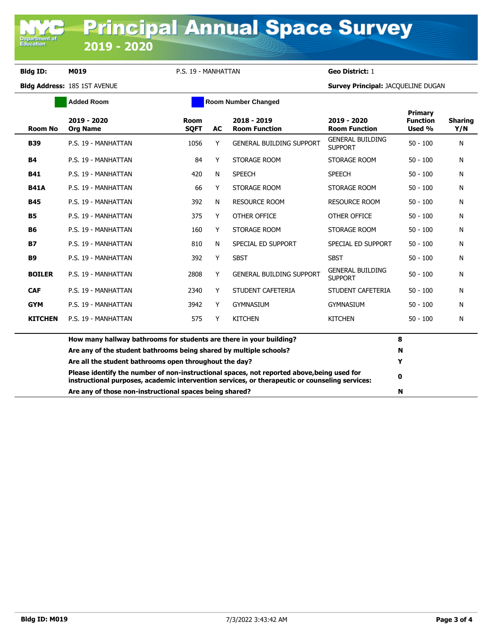Department of<br>Education

**Bldg ID: M019** P.S. 19 - MANHATTAN **Geo District:** 1

**Bldg Address:** 185 1ST AVENUE **Survey Principal:** JACQUELINE DUGAN

|                | <b>Added Room</b>                                                                                                                                                                                 | <b>Room Number Changed</b> |    |                                     |                                           |                                      |                       |  |
|----------------|---------------------------------------------------------------------------------------------------------------------------------------------------------------------------------------------------|----------------------------|----|-------------------------------------|-------------------------------------------|--------------------------------------|-----------------------|--|
| <b>Room No</b> | 2019 - 2020<br><b>Org Name</b>                                                                                                                                                                    | Room<br><b>SQFT</b>        | AC | 2018 - 2019<br><b>Room Function</b> | 2019 - 2020<br><b>Room Function</b>       | Primary<br><b>Function</b><br>Used % | <b>Sharing</b><br>Y/N |  |
| <b>B39</b>     | P.S. 19 - MANHATTAN                                                                                                                                                                               | 1056                       | Y  | <b>GENERAL BUILDING SUPPORT</b>     | <b>GENERAL BUILDING</b><br><b>SUPPORT</b> | $50 - 100$                           | N                     |  |
| <b>B4</b>      | P.S. 19 - MANHATTAN                                                                                                                                                                               | 84                         | Y  | STORAGE ROOM                        | STORAGE ROOM                              | $50 - 100$                           | N                     |  |
| <b>B41</b>     | P.S. 19 - MANHATTAN                                                                                                                                                                               | 420                        | N  | <b>SPEECH</b>                       | <b>SPEECH</b>                             | $50 - 100$                           | N                     |  |
| <b>B41A</b>    | P.S. 19 - MANHATTAN                                                                                                                                                                               | 66                         | Y  | STORAGE ROOM                        | STORAGE ROOM                              | $50 - 100$                           | N                     |  |
| <b>B45</b>     | P.S. 19 - MANHATTAN                                                                                                                                                                               | 392                        | N  | <b>RESOURCE ROOM</b>                | <b>RESOURCE ROOM</b>                      | $50 - 100$                           | N                     |  |
| <b>B5</b>      | P.S. 19 - MANHATTAN                                                                                                                                                                               | 375                        | Y  | OTHER OFFICE                        | OTHER OFFICE                              | $50 - 100$                           | N                     |  |
| <b>B6</b>      | P.S. 19 - MANHATTAN                                                                                                                                                                               | 160                        | Y  | STORAGE ROOM                        | STORAGE ROOM                              | $50 - 100$                           | N                     |  |
| <b>B7</b>      | P.S. 19 - MANHATTAN                                                                                                                                                                               | 810                        | N  | SPECIAL ED SUPPORT                  | SPECIAL ED SUPPORT                        | $50 - 100$                           | N                     |  |
| <b>B9</b>      | P.S. 19 - MANHATTAN                                                                                                                                                                               | 392                        | Y  | <b>SBST</b>                         | <b>SBST</b>                               | $50 - 100$                           | N                     |  |
| <b>BOILER</b>  | P.S. 19 - MANHATTAN                                                                                                                                                                               | 2808                       | Y  | <b>GENERAL BUILDING SUPPORT</b>     | <b>GENERAL BUILDING</b><br><b>SUPPORT</b> | $50 - 100$                           | N                     |  |
| <b>CAF</b>     | P.S. 19 - MANHATTAN                                                                                                                                                                               | 2340                       | Y  | STUDENT CAFETERIA                   | STUDENT CAFETERIA                         | $50 - 100$                           | N                     |  |
| <b>GYM</b>     | P.S. 19 - MANHATTAN                                                                                                                                                                               | 3942                       | Y  | <b>GYMNASIUM</b>                    | <b>GYMNASIUM</b>                          | $50 - 100$                           | N                     |  |
| <b>KITCHEN</b> | P.S. 19 - MANHATTAN                                                                                                                                                                               | 575                        | Y  | <b>KITCHEN</b>                      | <b>KITCHEN</b>                            | $50 - 100$                           | N                     |  |
|                | How many hallway bathrooms for students are there in your building?                                                                                                                               |                            |    |                                     |                                           |                                      |                       |  |
|                | Are any of the student bathrooms being shared by multiple schools?                                                                                                                                |                            |    |                                     |                                           | N                                    |                       |  |
|                | Are all the student bathrooms open throughout the day?<br>Y                                                                                                                                       |                            |    |                                     |                                           |                                      |                       |  |
|                | Please identify the number of non-instructional spaces, not reported above, being used for<br>0<br>instructional purposes, academic intervention services, or therapeutic or counseling services: |                            |    |                                     |                                           |                                      |                       |  |
|                | Are any of those non-instructional spaces being shared?                                                                                                                                           |                            |    |                                     |                                           | N                                    |                       |  |